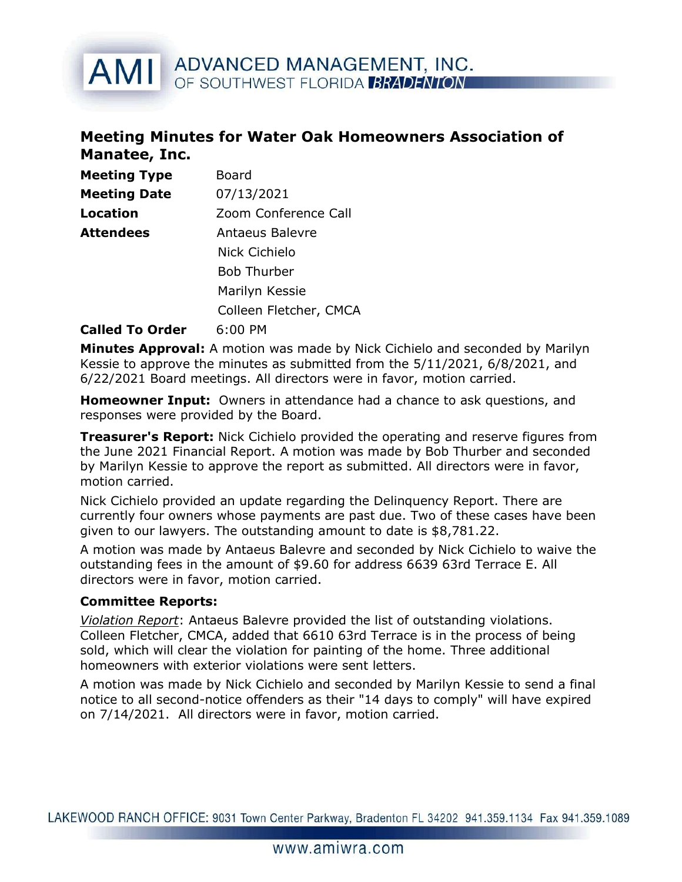# AMI ADVANCED MANAGEMENT, INC. OF SOUTHWEST FLORIDA BRADENTON

### Meeting Minutes for Water Oak Homeowners Association of Manatee, Inc.

| <b>Meeting Type</b> | Board                  |
|---------------------|------------------------|
| <b>Meeting Date</b> | 07/13/2021             |
| Location            | Zoom Conference Call   |
| Attendees           | <b>Antaeus Balevre</b> |
|                     | Nick Cichielo          |
|                     | <b>Bob Thurber</b>     |
|                     | Marilyn Kessie         |
|                     | Colleen Fletcher, CMCA |

#### Called To Order 6:00 PM

Minutes Approval: A motion was made by Nick Cichielo and seconded by Marilyn Kessie to approve the minutes as submitted from the 5/11/2021, 6/8/2021, and 6/22/2021 Board meetings. All directors were in favor, motion carried.

**Homeowner Input:** Owners in attendance had a chance to ask questions, and responses were provided by the Board.

**Treasurer's Report:** Nick Cichielo provided the operating and reserve figures from the June 2021 Financial Report. A motion was made by Bob Thurber and seconded by Marilyn Kessie to approve the report as submitted. All directors were in favor, motion carried.

Nick Cichielo provided an update regarding the Delinquency Report. There are currently four owners whose payments are past due. Two of these cases have been given to our lawyers. The outstanding amount to date is \$8,781.22.

A motion was made by Antaeus Balevre and seconded by Nick Cichielo to waive the outstanding fees in the amount of \$9.60 for address 6639 63rd Terrace E. All directors were in favor, motion carried.

#### Committee Reports:

Violation Report: Antaeus Balevre provided the list of outstanding violations. Colleen Fletcher, CMCA, added that 6610 63rd Terrace is in the process of being sold, which will clear the violation for painting of the home. Three additional homeowners with exterior violations were sent letters.

A motion was made by Nick Cichielo and seconded by Marilyn Kessie to send a final notice to all second-notice offenders as their "14 days to comply" will have expired on 7/14/2021. All directors were in favor, motion carried.

LAKEWOOD RANCH OFFICE: 9031 Town Center Parkway, Bradenton FL 34202 941.359.1134 Fax 941.359.1089